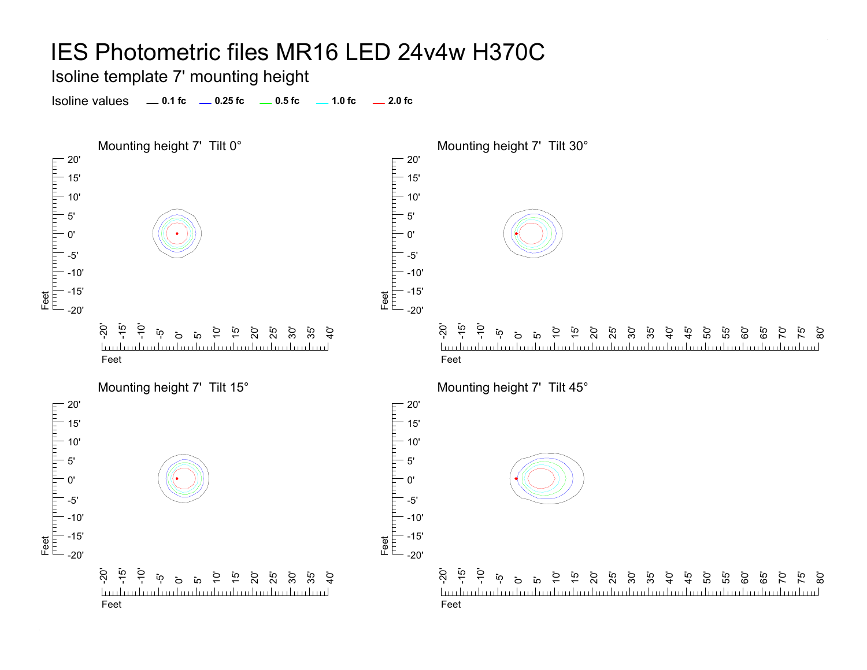Isoline template 7' mounting height

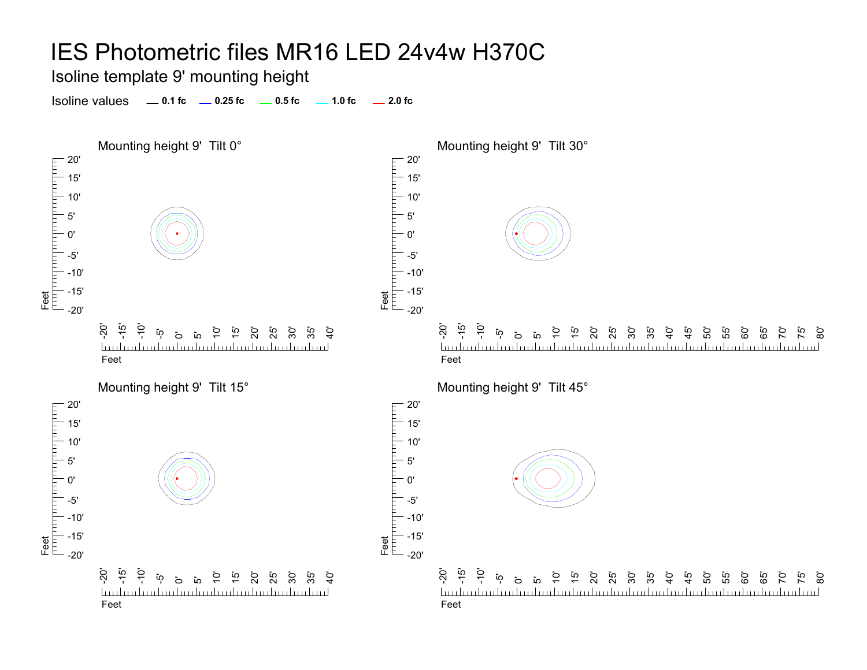Isoline template 9' mounting height

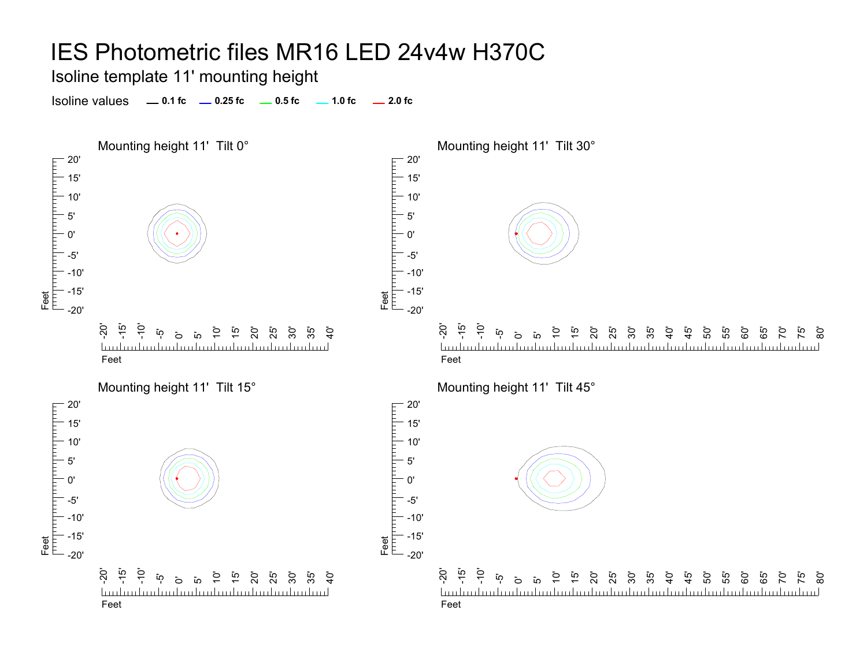Isoline template 11' mounting height

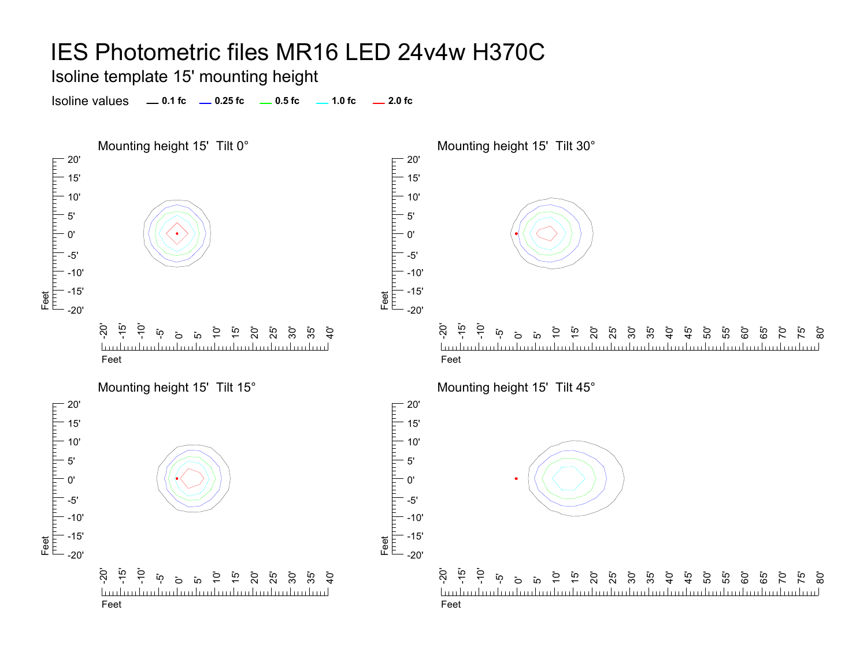Isoline template 15' mounting height

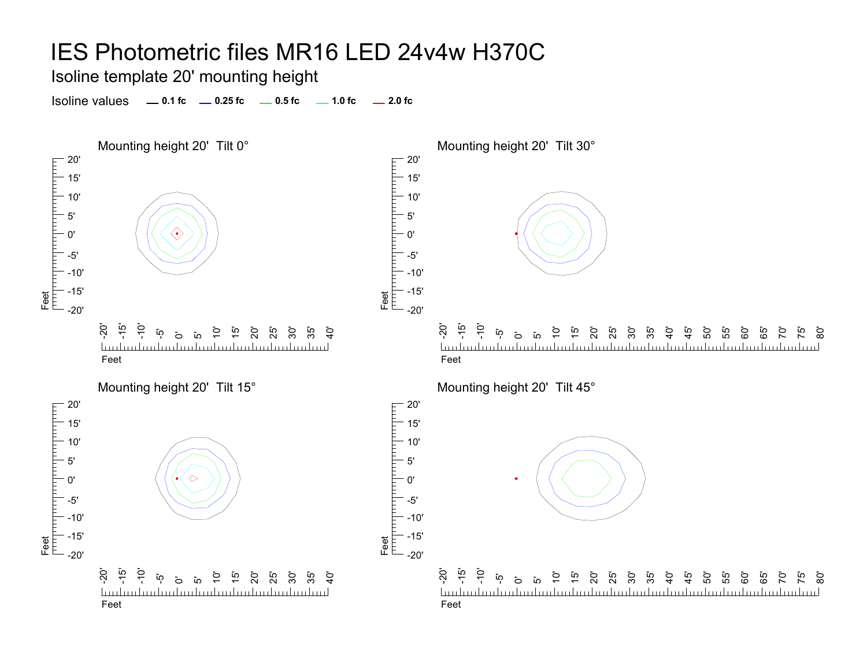Isoline template 20' mounting height

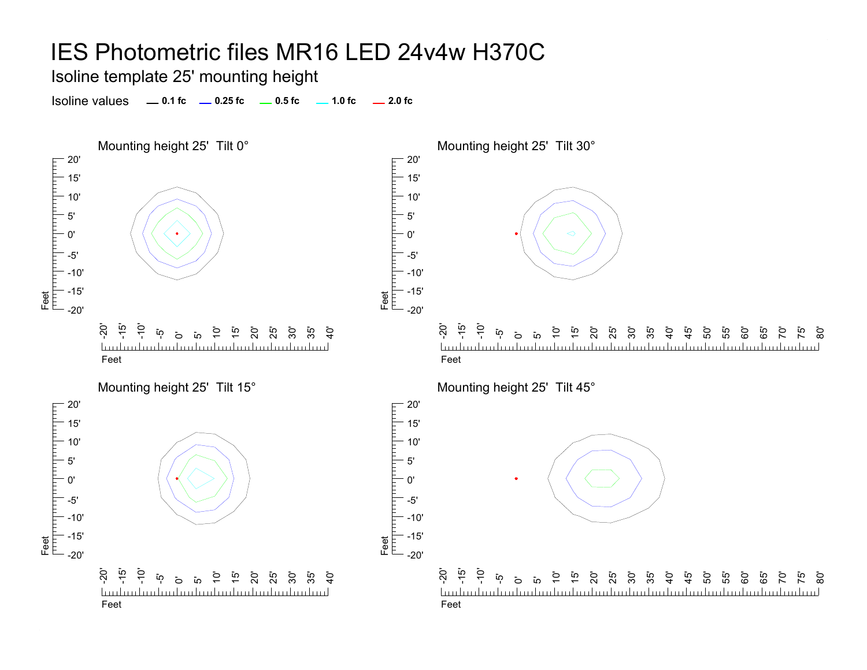Isoline template 25' mounting height

Isoline values **0.1 fc 0.25 fc 0.5 fc 2.0 fc 1.0 fc**



<u>تہ</u> 80'

75' ික